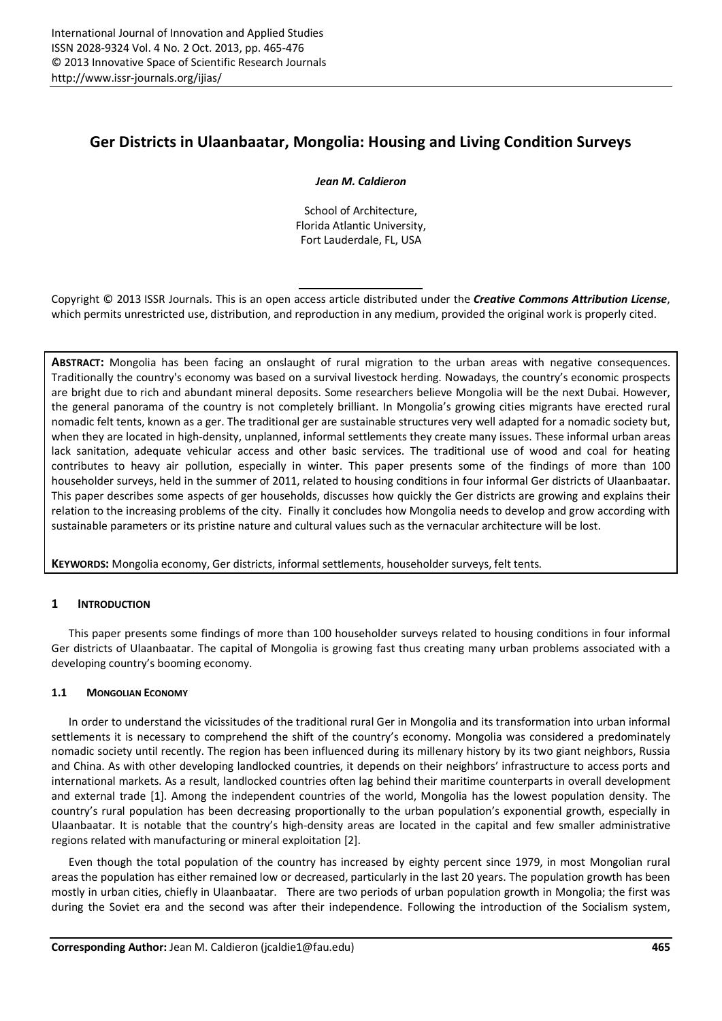# **Ger Districts in Ulaanbaatar, Mongolia: Housing and Living Condition Surveys**

# *Jean M. Caldieron*

School of Architecture, Florida Atlantic University, Fort Lauderdale, FL, USA

Copyright © 2013 ISSR Journals. This is an open access article distributed under the *Creative Commons Attribution License*, which permits unrestricted use, distribution, and reproduction in any medium, provided the original work is properly cited.

**ABSTRACT:** Mongolia has been facing an onslaught of rural migration to the urban areas with negative consequences. Traditionally the country's economy was based on a survival livestock herding. Nowadays, the country's economic prospects are bright due to rich and abundant mineral deposits. Some researchers believe Mongolia will be the next Dubai. However, the general panorama of the country is not completely brilliant. In Mongolia's growing cities migrants have erected rural nomadic felt tents, known as a ger. The traditional ger are sustainable structures very well adapted for a nomadic society but, when they are located in high-density, unplanned, informal settlements they create many issues. These informal urban areas lack sanitation, adequate vehicular access and other basic services. The traditional use of wood and coal for heating contributes to heavy air pollution, especially in winter. This paper presents some of the findings of more than 100 householder surveys, held in the summer of 2011, related to housing conditions in four informal Ger districts of Ulaanbaatar. This paper describes some aspects of ger households, discusses how quickly the Ger districts are growing and explains their relation to the increasing problems of the city. Finally it concludes how Mongolia needs to develop and grow according with sustainable parameters or its pristine nature and cultural values such as the vernacular architecture will be lost.

**KEYWORDS:** Mongolia economy, Ger districts, informal settlements, householder surveys, felt tents.

# **1 INTRODUCTION**

This paper presents some findings of more than 100 householder surveys related to housing conditions in four informal Ger districts of Ulaanbaatar. The capital of Mongolia is growing fast thus creating many urban problems associated with a developing country's booming economy.

# **1.1 MONGOLIAN ECONOMY**

In order to understand the vicissitudes of the traditional rural Ger in Mongolia and its transformation into urban informal settlements it is necessary to comprehend the shift of the country's economy. Mongolia was considered a predominately nomadic society until recently. The region has been influenced during its millenary history by its two giant neighbors, Russia and China. As with other developing landlocked countries, it depends on their neighbors' infrastructure to access ports and international markets. As a result, landlocked countries often lag behind their maritime counterparts in overall development and external trade [1]. Among the independent countries of the world, Mongolia has the lowest population density. The country's rural population has been decreasing proportionally to the urban population's exponential growth, especially in Ulaanbaatar. It is notable that the country's high-density areas are located in the capital and few smaller administrative regions related with manufacturing or mineral exploitation [2].

Even though the total population of the country has increased by eighty percent since 1979, in most Mongolian rural areas the population has either remained low or decreased, particularly in the last 20 years. The population growth has been mostly in urban cities, chiefly in Ulaanbaatar. There are two periods of urban population growth in Mongolia; the first was during the Soviet era and the second was after their independence. Following the introduction of the Socialism system,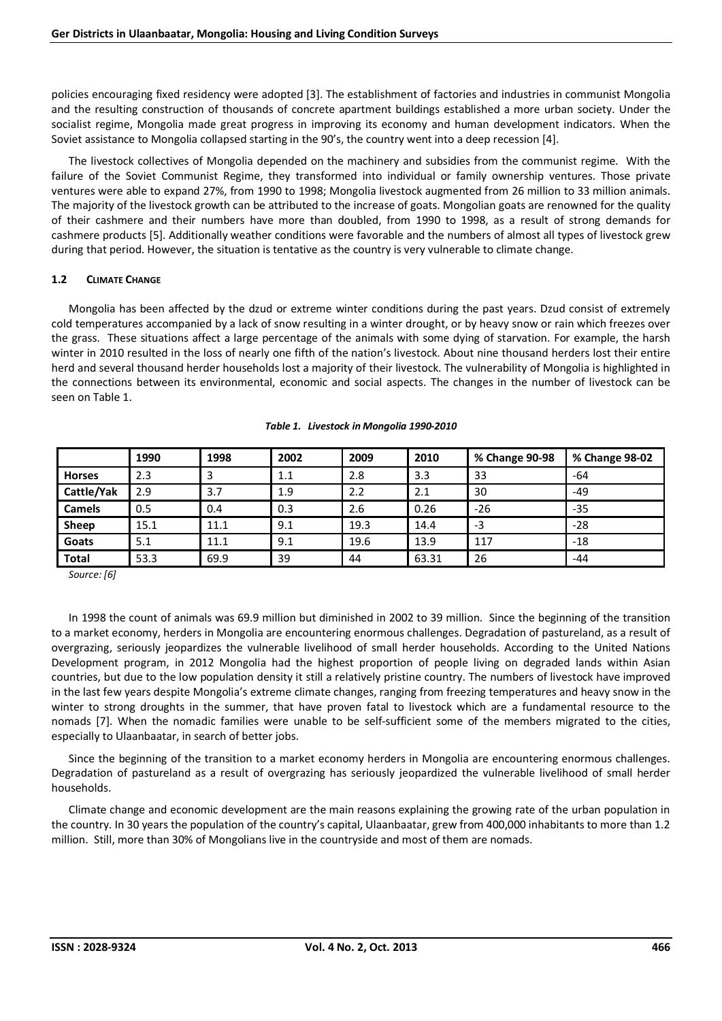policies encouraging fixed residency were adopted [3]. The establishment of factories and industries in communist Mongolia and the resulting construction of thousands of concrete apartment buildings established a more urban society. Under the socialist regime, Mongolia made great progress in improving its economy and human development indicators. When the Soviet assistance to Mongolia collapsed starting in the 90's, the country went into a deep recession [4].

The livestock collectives of Mongolia depended on the machinery and subsidies from the communist regime. With the failure of the Soviet Communist Regime, they transformed into individual or family ownership ventures. Those private ventures were able to expand 27%, from 1990 to 1998; Mongolia livestock augmented from 26 million to 33 million animals. The majority of the livestock growth can be attributed to the increase of goats. Mongolian goats are renowned for the quality of their cashmere and their numbers have more than doubled, from 1990 to 1998, as a result of strong demands for cashmere products [5]. Additionally weather conditions were favorable and the numbers of almost all types of livestock grew during that period. However, the situation is tentative as the country is very vulnerable to climate change.

# **1.2 CLIMATE CHANGE**

Mongolia has been affected by the dzud or extreme winter conditions during the past years. Dzud consist of extremely cold temperatures accompanied by a lack of snow resulting in a winter drought, or by heavy snow or rain which freezes over the grass. These situations affect a large percentage of the animals with some dying of starvation. For example, the harsh winter in 2010 resulted in the loss of nearly one fifth of the nation's livestock. About nine thousand herders lost their entire herd and several thousand herder households lost a majority of their livestock. The vulnerability of Mongolia is highlighted in the connections between its environmental, economic and social aspects. The changes in the number of livestock can be seen on Table 1.

|               | 1990 | 1998 | 2002 | 2009 | 2010  | % Change 90-98 | % Change 98-02 |
|---------------|------|------|------|------|-------|----------------|----------------|
| <b>Horses</b> | 2.3  |      | 1.1  | 2.8  | 3.3   | 33             | $-64$          |
| Cattle/Yak    | 2.9  | 3.7  | 1.9  | 2.2  | 2.1   | 30             | $-49$          |
| <b>Camels</b> | 0.5  | 0.4  | 0.3  | 2.6  | 0.26  | $-26$          | $-35$          |
| Sheep         | 15.1 | 11.1 | 9.1  | 19.3 | 14.4  | -3             | $-28$          |
| Goats         | 5.1  | 11.1 | 9.1  | 19.6 | 13.9  | 117            | $-18$          |
| <b>Total</b>  | 53.3 | 69.9 | 39   | 44   | 63.31 | 26             | $-44$          |

# *Table 1. Livestock in Mongolia 1990-2010*

*Source: [6]* 

In 1998 the count of animals was 69.9 million but diminished in 2002 to 39 million. Since the beginning of the transition to a market economy, herders in Mongolia are encountering enormous challenges. Degradation of pastureland, as a result of overgrazing, seriously jeopardizes the vulnerable livelihood of small herder households. According to the United Nations Development program, in 2012 Mongolia had the highest proportion of people living on degraded lands within Asian countries, but due to the low population density it still a relatively pristine country. The numbers of livestock have improved in the last few years despite Mongolia's extreme climate changes, ranging from freezing temperatures and heavy snow in the winter to strong droughts in the summer, that have proven fatal to livestock which are a fundamental resource to the nomads [7]. When the nomadic families were unable to be self-sufficient some of the members migrated to the cities, especially to Ulaanbaatar, in search of better jobs.

Since the beginning of the transition to a market economy herders in Mongolia are encountering enormous challenges. Degradation of pastureland as a result of overgrazing has seriously jeopardized the vulnerable livelihood of small herder households.

Climate change and economic development are the main reasons explaining the growing rate of the urban population in the country. In 30 years the population of the country's capital, Ulaanbaatar, grew from 400,000 inhabitants to more than 1.2 million. Still, more than 30% of Mongolians live in the countryside and most of them are nomads.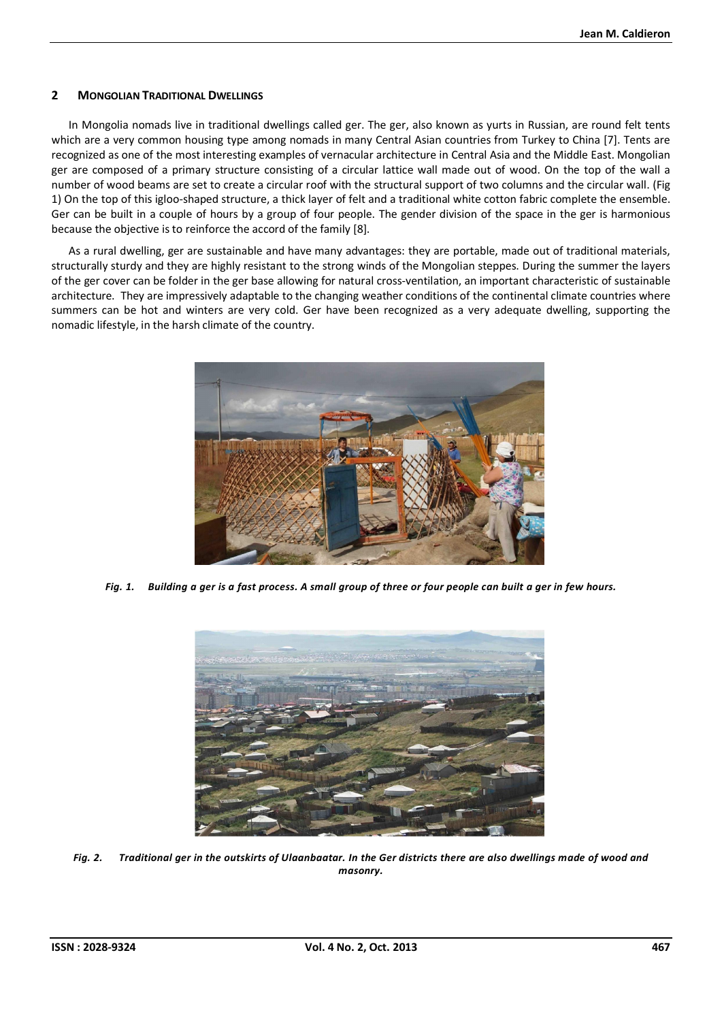# **2 MONGOLIAN TRADITIONAL DWELLINGS**

In Mongolia nomads live in traditional dwellings called ger. The ger, also known as yurts in Russian, are round felt tents which are a very common housing type among nomads in many Central Asian countries from Turkey to China [7]. Tents are recognized as one of the most interesting examples of vernacular architecture in Central Asia and the Middle East. Mongolian ger are composed of a primary structure consisting of a circular lattice wall made out of wood. On the top of the wall a number of wood beams are set to create a circular roof with the structural support of two columns and the circular wall. (Fig 1) On the top of this igloo-shaped structure, a thick layer of felt and a traditional white cotton fabric complete the ensemble. Ger can be built in a couple of hours by a group of four people. The gender division of the space in the ger is harmonious because the objective is to reinforce the accord of the family [8].

As a rural dwelling, ger are sustainable and have many advantages: they are portable, made out of traditional materials, structurally sturdy and they are highly resistant to the strong winds of the Mongolian steppes. During the summer the layers of the ger cover can be folder in the ger base allowing for natural cross-ventilation, an important characteristic of sustainable architecture. They are impressively adaptable to the changing weather conditions of the continental climate countries where summers can be hot and winters are very cold. Ger have been recognized as a very adequate dwelling, supporting the nomadic lifestyle, in the harsh climate of the country.



*Fig. 1. Building a ger is a fast process. A small group of three or four people can built a ger in few hours.* 



*Fig. 2. Traditional ger in the outskirts of Ulaanbaatar. In the Ger districts there are also dwellings made of wood and masonry.*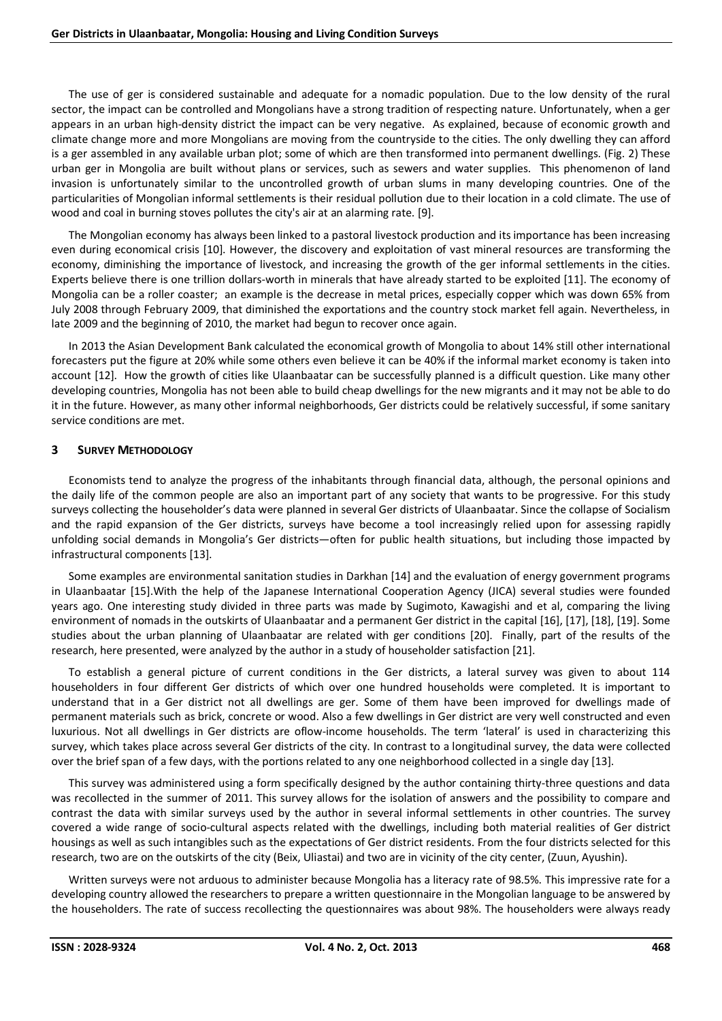The use of ger is considered sustainable and adequate for a nomadic population. Due to the low density of the rural sector, the impact can be controlled and Mongolians have a strong tradition of respecting nature. Unfortunately, when a ger appears in an urban high-density district the impact can be very negative. As explained, because of economic growth and climate change more and more Mongolians are moving from the countryside to the cities. The only dwelling they can afford is a ger assembled in any available urban plot; some of which are then transformed into permanent dwellings. (Fig. 2) These urban ger in Mongolia are built without plans or services, such as sewers and water supplies. This phenomenon of land invasion is unfortunately similar to the uncontrolled growth of urban slums in many developing countries. One of the particularities of Mongolian informal settlements is their residual pollution due to their location in a cold climate. The use of wood and coal in burning stoves pollutes the city's air at an alarming rate. [9].

The Mongolian economy has always been linked to a pastoral livestock production and its importance has been increasing even during economical crisis [10]. However, the discovery and exploitation of vast mineral resources are transforming the economy, diminishing the importance of livestock, and increasing the growth of the ger informal settlements in the cities. Experts believe there is one trillion dollars-worth in minerals that have already started to be exploited [11]. The economy of Mongolia can be a roller coaster; an example is the decrease in metal prices, especially copper which was down 65% from July 2008 through February 2009, that diminished the exportations and the country stock market fell again. Nevertheless, in late 2009 and the beginning of 2010, the market had begun to recover once again.

In 2013 the Asian Development Bank calculated the economical growth of Mongolia to about 14% still other international forecasters put the figure at 20% while some others even believe it can be 40% if the informal market economy is taken into account [12]. How the growth of cities like Ulaanbaatar can be successfully planned is a difficult question. Like many other developing countries, Mongolia has not been able to build cheap dwellings for the new migrants and it may not be able to do it in the future. However, as many other informal neighborhoods, Ger districts could be relatively successful, if some sanitary service conditions are met.

# **3 SURVEY METHODOLOGY**

Economists tend to analyze the progress of the inhabitants through financial data, although, the personal opinions and the daily life of the common people are also an important part of any society that wants to be progressive. For this study surveys collecting the householder's data were planned in several Ger districts of Ulaanbaatar. Since the collapse of Socialism and the rapid expansion of the Ger districts, surveys have become a tool increasingly relied upon for assessing rapidly unfolding social demands in Mongolia's Ger districts—often for public health situations, but including those impacted by infrastructural components [13].

Some examples are environmental sanitation studies in Darkhan [14] and the evaluation of energy government programs in Ulaanbaatar [15].With the help of the Japanese International Cooperation Agency (JICA) several studies were founded years ago. One interesting study divided in three parts was made by Sugimoto, Kawagishi and et al, comparing the living environment of nomads in the outskirts of Ulaanbaatar and a permanent Ger district in the capital [16], [17], [18], [19]. Some studies about the urban planning of Ulaanbaatar are related with ger conditions [20]. Finally, part of the results of the research, here presented, were analyzed by the author in a study of householder satisfaction [21].

To establish a general picture of current conditions in the Ger districts, a lateral survey was given to about 114 householders in four different Ger districts of which over one hundred households were completed. It is important to understand that in a Ger district not all dwellings are ger. Some of them have been improved for dwellings made of permanent materials such as brick, concrete or wood. Also a few dwellings in Ger district are very well constructed and even luxurious. Not all dwellings in Ger districts are oflow-income households. The term 'lateral' is used in characterizing this survey, which takes place across several Ger districts of the city. In contrast to a longitudinal survey, the data were collected over the brief span of a few days, with the portions related to any one neighborhood collected in a single day [13].

This survey was administered using a form specifically designed by the author containing thirty-three questions and data was recollected in the summer of 2011. This survey allows for the isolation of answers and the possibility to compare and contrast the data with similar surveys used by the author in several informal settlements in other countries. The survey covered a wide range of socio-cultural aspects related with the dwellings, including both material realities of Ger district housings as well as such intangibles such as the expectations of Ger district residents. From the four districts selected for this research, two are on the outskirts of the city (Beix, Uliastai) and two are in vicinity of the city center, (Zuun, Ayushin).

Written surveys were not arduous to administer because Mongolia has a literacy rate of 98.5%. This impressive rate for a developing country allowed the researchers to prepare a written questionnaire in the Mongolian language to be answered by the householders. The rate of success recollecting the questionnaires was about 98%. The householders were always ready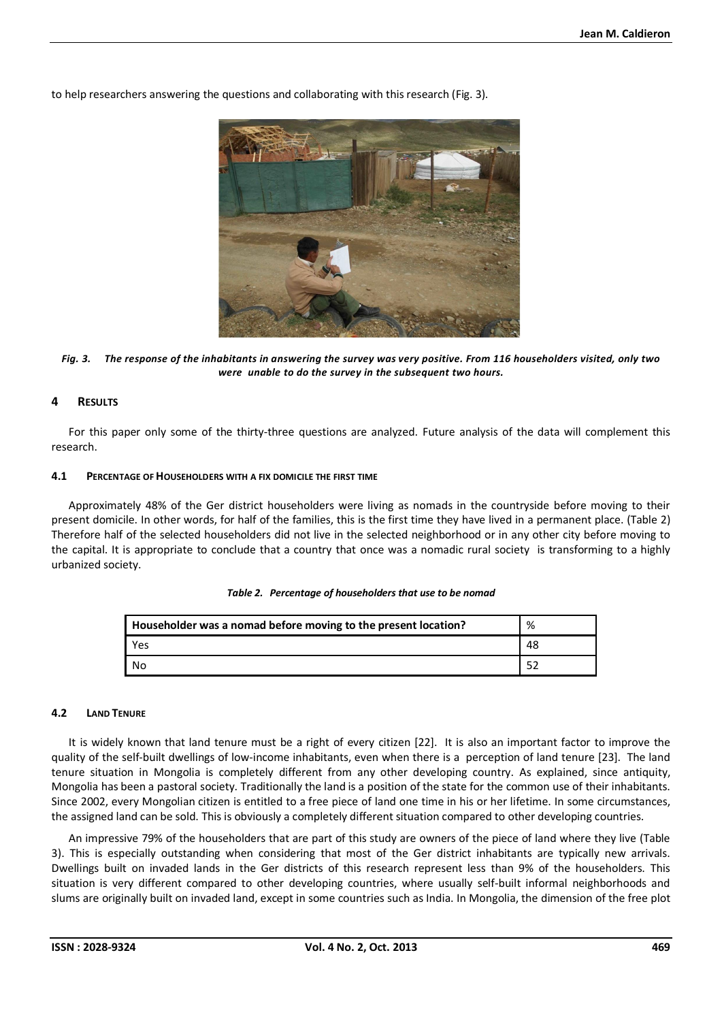to help researchers answering the questions and collaborating with this research (Fig. 3).



*Fig. 3. The response of the inhabitants in answering the survey was very positive. From 116 householders visited, only two were unable to do the survey in the subsequent two hours.* 

# **4 RESULTS**

For this paper only some of the thirty-three questions are analyzed. Future analysis of the data will complement this research.

#### **4.1 PERCENTAGE OF HOUSEHOLDERS WITH A FIX DOMICILE THE FIRST TIME**

Approximately 48% of the Ger district householders were living as nomads in the countryside before moving to their present domicile. In other words, for half of the families, this is the first time they have lived in a permanent place. (Table 2) Therefore half of the selected householders did not live in the selected neighborhood or in any other city before moving to the capital. It is appropriate to conclude that a country that once was a nomadic rural society is transforming to a highly urbanized society.

| Householder was a nomad before moving to the present location? | %  |
|----------------------------------------------------------------|----|
| Yes                                                            | 48 |
| No                                                             | 52 |

|  |  |  | Table 2. Percentage of householders that use to be nomad |
|--|--|--|----------------------------------------------------------|
|--|--|--|----------------------------------------------------------|

#### **4.2 LAND TENURE**

It is widely known that land tenure must be a right of every citizen [22]. It is also an important factor to improve the quality of the self-built dwellings of low-income inhabitants, even when there is a perception of land tenure [23]. The land tenure situation in Mongolia is completely different from any other developing country. As explained, since antiquity, Mongolia has been a pastoral society. Traditionally the land is a position of the state for the common use of their inhabitants. Since 2002, every Mongolian citizen is entitled to a free piece of land one time in his or her lifetime. In some circumstances, the assigned land can be sold. This is obviously a completely different situation compared to other developing countries.

An impressive 79% of the householders that are part of this study are owners of the piece of land where they live (Table 3). This is especially outstanding when considering that most of the Ger district inhabitants are typically new arrivals. Dwellings built on invaded lands in the Ger districts of this research represent less than 9% of the householders. This situation is very different compared to other developing countries, where usually self-built informal neighborhoods and slums are originally built on invaded land, except in some countries such as India. In Mongolia, the dimension of the free plot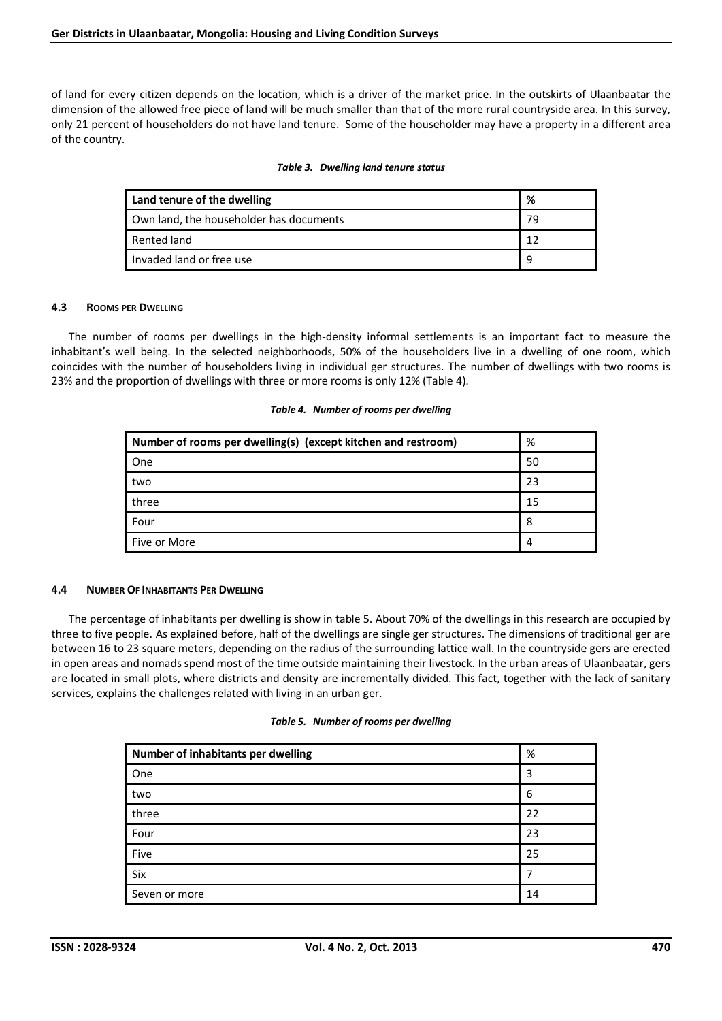of land for every citizen depends on the location, which is a driver of the market price. In the outskirts of Ulaanbaatar the dimension of the allowed free piece of land will be much smaller than that of the more rural countryside area. In this survey, only 21 percent of householders do not have land tenure. Some of the householder may have a property in a different area of the country.

|  |  | Table 3. Dwelling land tenure status |
|--|--|--------------------------------------|
|--|--|--------------------------------------|

| Land tenure of the dwelling             | %  |
|-----------------------------------------|----|
| Own land, the householder has documents | 79 |
| Rented land                             |    |
| Invaded land or free use                | q  |

# **4.3 ROOMS PER DWELLING**

The number of rooms per dwellings in the high-density informal settlements is an important fact to measure the inhabitant's well being. In the selected neighborhoods, 50% of the householders live in a dwelling of one room, which coincides with the number of householders living in individual ger structures. The number of dwellings with two rooms is 23% and the proportion of dwellings with three or more rooms is only 12% (Table 4).

|  |  |  | Table 4. Number of rooms per dwelling |
|--|--|--|---------------------------------------|
|--|--|--|---------------------------------------|

| Number of rooms per dwelling(s) (except kitchen and restroom) | %  |
|---------------------------------------------------------------|----|
| One                                                           | 50 |
| two                                                           | 23 |
| three                                                         | 15 |
| Four                                                          | 8  |
| Five or More                                                  | 4  |

# **4.4 NUMBER OF INHABITANTS PER DWELLING**

The percentage of inhabitants per dwelling is show in table 5. About 70% of the dwellings in this research are occupied by three to five people. As explained before, half of the dwellings are single ger structures. The dimensions of traditional ger are between 16 to 23 square meters, depending on the radius of the surrounding lattice wall. In the countryside gers are erected in open areas and nomads spend most of the time outside maintaining their livestock. In the urban areas of Ulaanbaatar, gers are located in small plots, where districts and density are incrementally divided. This fact, together with the lack of sanitary services, explains the challenges related with living in an urban ger.

|  | Table 5. Number of rooms per dwelling |  |  |  |
|--|---------------------------------------|--|--|--|
|--|---------------------------------------|--|--|--|

| Number of inhabitants per dwelling | %  |
|------------------------------------|----|
| One                                | 3  |
| two                                | 6  |
| three                              | 22 |
| Four                               | 23 |
| Five                               | 25 |
| Six                                |    |
| Seven or more                      | 14 |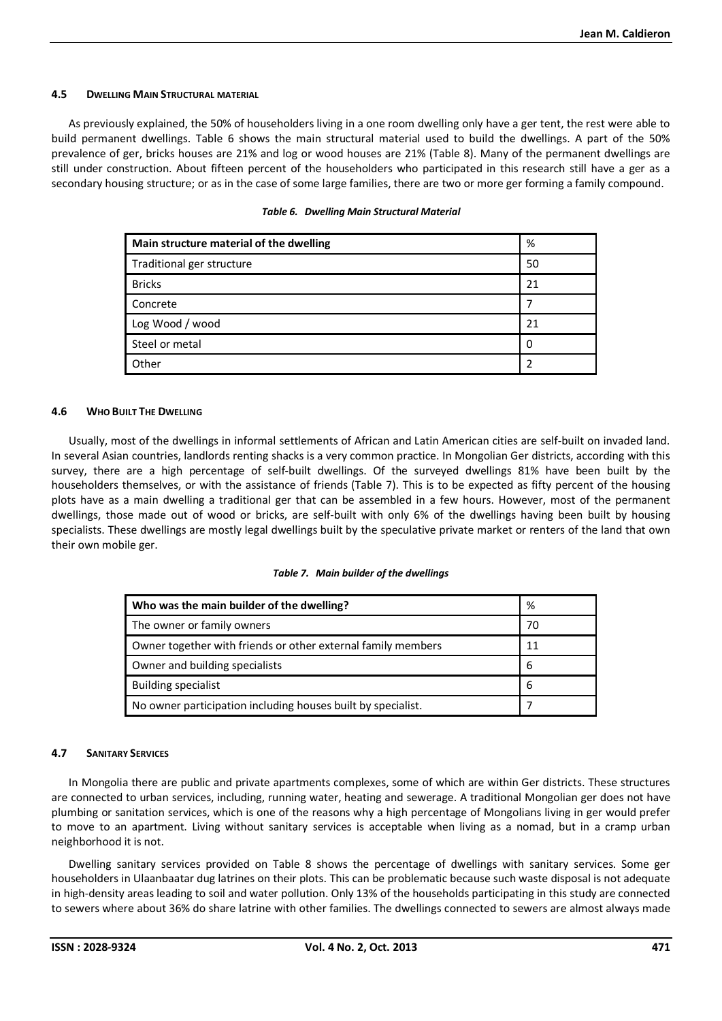# **4.5 DWELLING MAIN STRUCTURAL MATERIAL**

As previously explained, the 50% of householders living in a one room dwelling only have a ger tent, the rest were able to build permanent dwellings. Table 6 shows the main structural material used to build the dwellings. A part of the 50% prevalence of ger, bricks houses are 21% and log or wood houses are 21% (Table 8). Many of the permanent dwellings are still under construction. About fifteen percent of the householders who participated in this research still have a ger as a secondary housing structure; or as in the case of some large families, there are two or more ger forming a family compound.

| Main structure material of the dwelling | %  |
|-----------------------------------------|----|
| Traditional ger structure               | 50 |
| <b>Bricks</b>                           | 21 |
| Concrete                                |    |
| Log Wood / wood                         | 21 |
| Steel or metal                          | 0  |
| Other                                   | າ  |

#### *Table 6. Dwelling Main Structural Material*

#### **4.6 WHO BUILT THE DWELLING**

Usually, most of the dwellings in informal settlements of African and Latin American cities are self-built on invaded land. In several Asian countries, landlords renting shacks is a very common practice. In Mongolian Ger districts, according with this survey, there are a high percentage of self-built dwellings. Of the surveyed dwellings 81% have been built by the householders themselves, or with the assistance of friends (Table 7). This is to be expected as fifty percent of the housing plots have as a main dwelling a traditional ger that can be assembled in a few hours. However, most of the permanent dwellings, those made out of wood or bricks, are self-built with only 6% of the dwellings having been built by housing specialists. These dwellings are mostly legal dwellings built by the speculative private market or renters of the land that own their own mobile ger.

#### *Table 7. Main builder of the dwellings*

| Who was the main builder of the dwelling?                    | %  |
|--------------------------------------------------------------|----|
| The owner or family owners                                   | 70 |
| Owner together with friends or other external family members | 11 |
| Owner and building specialists                               | 6  |
| <b>Building specialist</b>                                   | 6  |
| No owner participation including houses built by specialist. |    |

#### **4.7 SANITARY SERVICES**

In Mongolia there are public and private apartments complexes, some of which are within Ger districts. These structures are connected to urban services, including, running water, heating and sewerage. A traditional Mongolian ger does not have plumbing or sanitation services, which is one of the reasons why a high percentage of Mongolians living in ger would prefer to move to an apartment. Living without sanitary services is acceptable when living as a nomad, but in a cramp urban neighborhood it is not.

Dwelling sanitary services provided on Table 8 shows the percentage of dwellings with sanitary services. Some ger householders in Ulaanbaatar dug latrines on their plots. This can be problematic because such waste disposal is not adequate in high-density areas leading to soil and water pollution. Only 13% of the households participating in this study are connected to sewers where about 36% do share latrine with other families. The dwellings connected to sewers are almost always made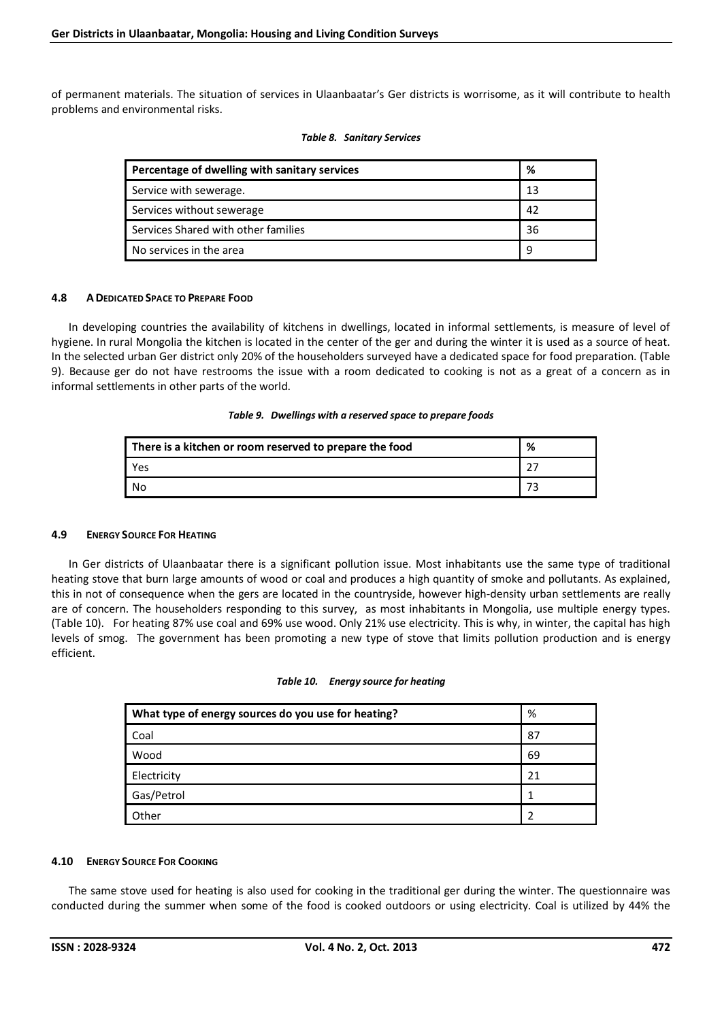of permanent materials. The situation of services in Ulaanbaatar's Ger districts is worrisome, as it will contribute to health problems and environmental risks.

| Percentage of dwelling with sanitary services | %  |
|-----------------------------------------------|----|
| Service with sewerage.                        | 13 |
| Services without sewerage                     | 42 |
| Services Shared with other families           | 36 |
| No services in the area                       | 9  |

## *Table 8. Sanitary Services*

# **4.8 ADEDICATED SPACE TO PREPARE FOOD**

In developing countries the availability of kitchens in dwellings, located in informal settlements, is measure of level of hygiene. In rural Mongolia the kitchen is located in the center of the ger and during the winter it is used as a source of heat. In the selected urban Ger district only 20% of the householders surveyed have a dedicated space for food preparation. (Table 9). Because ger do not have restrooms the issue with a room dedicated to cooking is not as a great of a concern as in informal settlements in other parts of the world.

#### *Table 9. Dwellings with a reserved space to prepare foods*

| There is a kitchen or room reserved to prepare the food | % |
|---------------------------------------------------------|---|
| Yes                                                     |   |
| - No                                                    |   |

# **4.9 ENERGY SOURCE FOR HEATING**

In Ger districts of Ulaanbaatar there is a significant pollution issue. Most inhabitants use the same type of traditional heating stove that burn large amounts of wood or coal and produces a high quantity of smoke and pollutants. As explained, this in not of consequence when the gers are located in the countryside, however high-density urban settlements are really are of concern. The householders responding to this survey, as most inhabitants in Mongolia, use multiple energy types. (Table 10). For heating 87% use coal and 69% use wood. Only 21% use electricity. This is why, in winter, the capital has high levels of smog. The government has been promoting a new type of stove that limits pollution production and is energy efficient.

#### *Table 10. Energy source for heating*

| What type of energy sources do you use for heating? | %  |
|-----------------------------------------------------|----|
| Coal                                                | 87 |
| Wood                                                | 69 |
| Electricity                                         | 21 |
| Gas/Petrol                                          |    |
| Other                                               |    |

# **4.10 ENERGY SOURCE FOR COOKING**

The same stove used for heating is also used for cooking in the traditional ger during the winter. The questionnaire was conducted during the summer when some of the food is cooked outdoors or using electricity. Coal is utilized by 44% the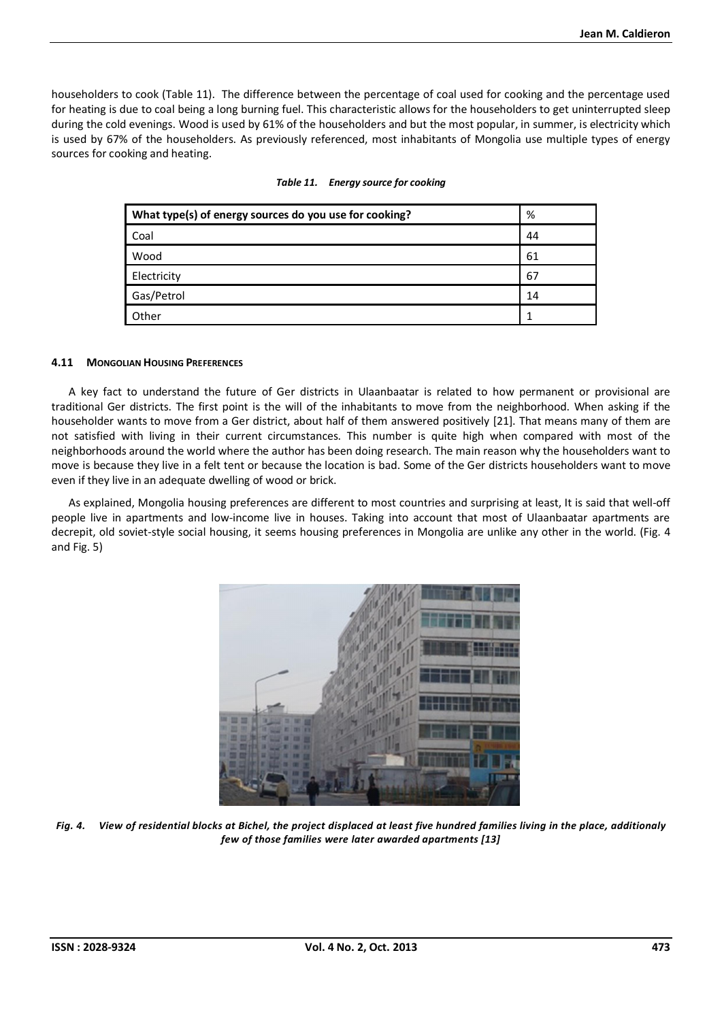householders to cook (Table 11). The difference between the percentage of coal used for cooking and the percentage used for heating is due to coal being a long burning fuel. This characteristic allows for the householders to get uninterrupted sleep during the cold evenings. Wood is used by 61% of the householders and but the most popular, in summer, is electricity which is used by 67% of the householders. As previously referenced, most inhabitants of Mongolia use multiple types of energy sources for cooking and heating.

| What type(s) of energy sources do you use for cooking? | %  |
|--------------------------------------------------------|----|
| Coal                                                   | 44 |
| Wood                                                   | 61 |
| Electricity                                            | 67 |
| Gas/Petrol                                             | 14 |
| Other                                                  |    |

|  | Table 11. Energy source for cooking |
|--|-------------------------------------|
|--|-------------------------------------|

# **4.11 MONGOLIAN HOUSING PREFERENCES**

A key fact to understand the future of Ger districts in Ulaanbaatar is related to how permanent or provisional are traditional Ger districts. The first point is the will of the inhabitants to move from the neighborhood. When asking if the householder wants to move from a Ger district, about half of them answered positively [21]. That means many of them are not satisfied with living in their current circumstances. This number is quite high when compared with most of the neighborhoods around the world where the author has been doing research. The main reason why the householders want to move is because they live in a felt tent or because the location is bad. Some of the Ger districts householders want to move even if they live in an adequate dwelling of wood or brick.

As explained, Mongolia housing preferences are different to most countries and surprising at least, It is said that well-off people live in apartments and low-income live in houses. Taking into account that most of Ulaanbaatar apartments are decrepit, old soviet-style social housing, it seems housing preferences in Mongolia are unlike any other in the world. (Fig. 4 and Fig. 5)



*Fig. 4. View of residential blocks at Bichel, the project displaced at least five hundred families living in the place, additionaly few of those families were later awarded apartments [13]*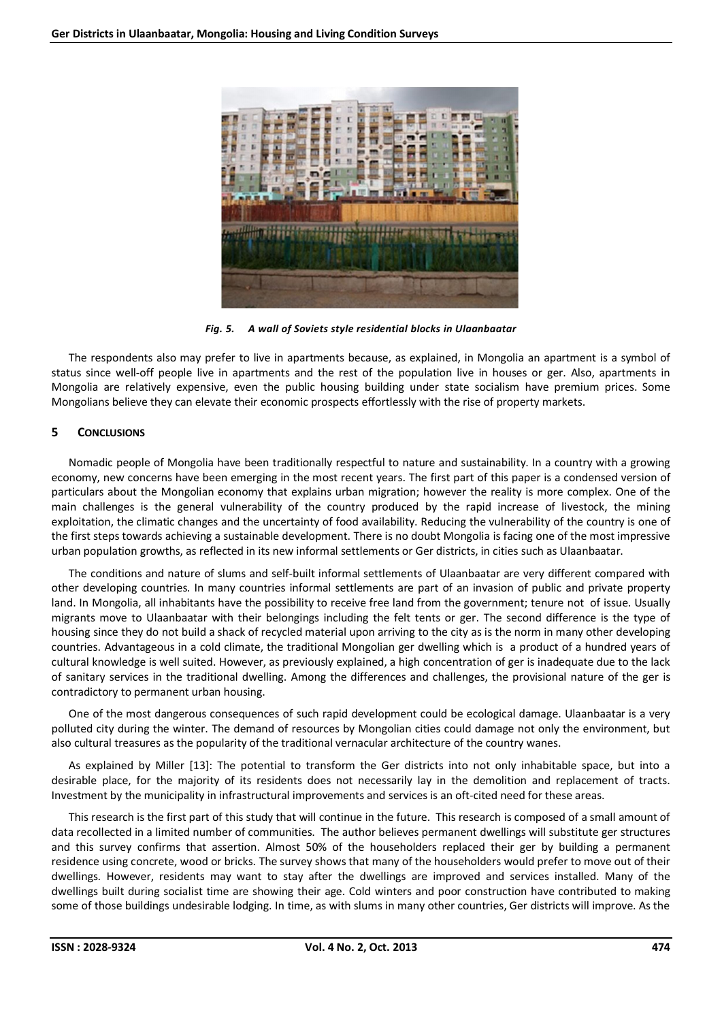

*Fig. 5. A wall of Soviets style residential blocks in Ulaanbaatar* 

The respondents also may prefer to live in apartments because, as explained, in Mongolia an apartment is a symbol of status since well-off people live in apartments and the rest of the population live in houses or ger. Also, apartments in Mongolia are relatively expensive, even the public housing building under state socialism have premium prices. Some Mongolians believe they can elevate their economic prospects effortlessly with the rise of property markets.

# **5 CONCLUSIONS**

Nomadic people of Mongolia have been traditionally respectful to nature and sustainability. In a country with a growing economy, new concerns have been emerging in the most recent years. The first part of this paper is a condensed version of particulars about the Mongolian economy that explains urban migration; however the reality is more complex. One of the main challenges is the general vulnerability of the country produced by the rapid increase of livestock, the mining exploitation, the climatic changes and the uncertainty of food availability. Reducing the vulnerability of the country is one of the first steps towards achieving a sustainable development. There is no doubt Mongolia is facing one of the most impressive urban population growths, as reflected in its new informal settlements or Ger districts, in cities such as Ulaanbaatar.

The conditions and nature of slums and self-built informal settlements of Ulaanbaatar are very different compared with other developing countries. In many countries informal settlements are part of an invasion of public and private property land. In Mongolia, all inhabitants have the possibility to receive free land from the government; tenure not of issue. Usually migrants move to Ulaanbaatar with their belongings including the felt tents or ger. The second difference is the type of housing since they do not build a shack of recycled material upon arriving to the city as is the norm in many other developing countries. Advantageous in a cold climate, the traditional Mongolian ger dwelling which is a product of a hundred years of cultural knowledge is well suited. However, as previously explained, a high concentration of ger is inadequate due to the lack of sanitary services in the traditional dwelling. Among the differences and challenges, the provisional nature of the ger is contradictory to permanent urban housing.

One of the most dangerous consequences of such rapid development could be ecological damage. Ulaanbaatar is a very polluted city during the winter. The demand of resources by Mongolian cities could damage not only the environment, but also cultural treasures as the popularity of the traditional vernacular architecture of the country wanes.

As explained by Miller [13]: The potential to transform the Ger districts into not only inhabitable space, but into a desirable place, for the majority of its residents does not necessarily lay in the demolition and replacement of tracts. Investment by the municipality in infrastructural improvements and services is an oft-cited need for these areas.

This research is the first part of this study that will continue in the future. This research is composed of a small amount of data recollected in a limited number of communities. The author believes permanent dwellings will substitute ger structures and this survey confirms that assertion. Almost 50% of the householders replaced their ger by building a permanent residence using concrete, wood or bricks. The survey shows that many of the householders would prefer to move out of their dwellings. However, residents may want to stay after the dwellings are improved and services installed. Many of the dwellings built during socialist time are showing their age. Cold winters and poor construction have contributed to making some of those buildings undesirable lodging. In time, as with slums in many other countries, Ger districts will improve. As the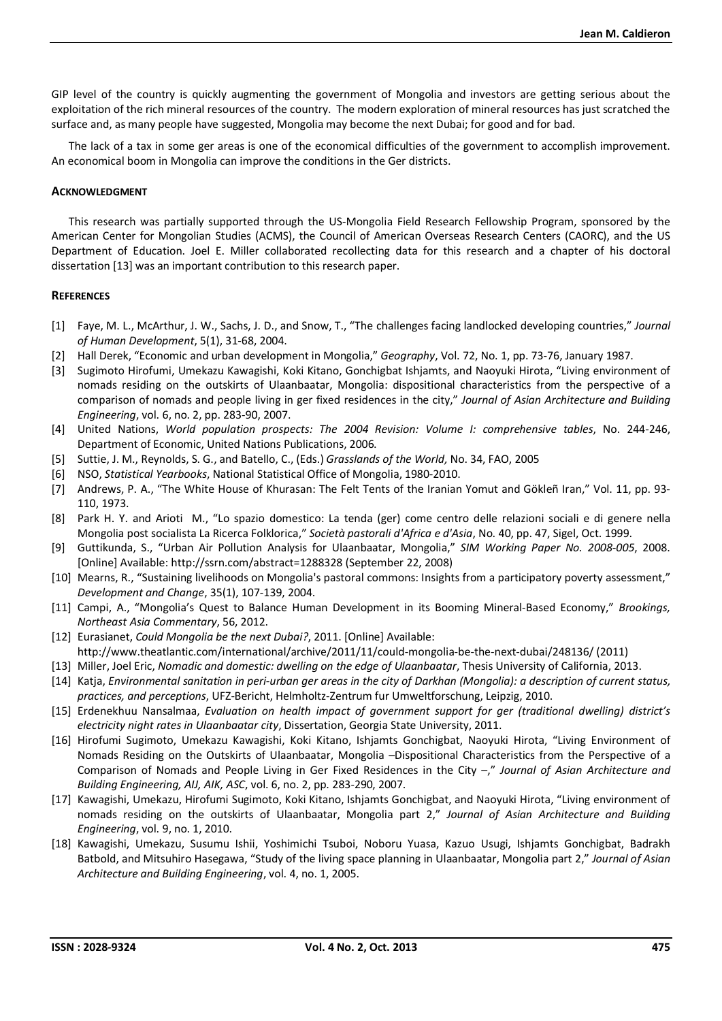GIP level of the country is quickly augmenting the government of Mongolia and investors are getting serious about the exploitation of the rich mineral resources of the country. The modern exploration of mineral resources has just scratched the surface and, as many people have suggested, Mongolia may become the next Dubai; for good and for bad.

The lack of a tax in some ger areas is one of the economical difficulties of the government to accomplish improvement. An economical boom in Mongolia can improve the conditions in the Ger districts.

## **ACKNOWLEDGMENT**

This research was partially supported through the US-Mongolia Field Research Fellowship Program, sponsored by the American Center for Mongolian Studies (ACMS), the Council of American Overseas Research Centers (CAORC), and the US Department of Education. Joel E. Miller collaborated recollecting data for this research and a chapter of his doctoral dissertation [13] was an important contribution to this research paper.

# **REFERENCES**

- [1] Faye, M. L., McArthur, J. W., Sachs, J. D., and Snow, T., "The challenges facing landlocked developing countries," *Journal of Human Development*, 5(1), 31-68, 2004.
- [2] Hall Derek, "Economic and urban development in Mongolia," *Geography*, Vol. 72, No. 1, pp. 73-76, January 1987.
- [3] Sugimoto Hirofumi, Umekazu Kawagishi, Koki Kitano, Gonchigbat Ishjamts, and Naoyuki Hirota, "Living environment of nomads residing on the outskirts of Ulaanbaatar, Mongolia: dispositional characteristics from the perspective of a comparison of nomads and people living in ger fixed residences in the city," *Journal of Asian Architecture and Building Engineering*, vol. 6, no. 2, pp. 283-90, 2007.
- [4] United Nations, *World population prospects: The 2004 Revision: Volume I: comprehensive tables*, No. 244-246, Department of Economic, United Nations Publications, 2006.
- [5] Suttie, J. M., Reynolds, S. G., and Batello, C., (Eds.) *Grasslands of the World,* No. 34, FAO, 2005
- [6] NSO, *Statistical Yearbooks*, National Statistical Office of Mongolia, 1980-2010.
- [7] Andrews, P. A., "The White House of Khurasan: The Felt Tents of the Iranian Yomut and Gökleñ Iran," Vol. 11, pp. 93- 110, 1973.
- [8] Park H. Y. and Arioti M., "Lo spazio domestico: La tenda (ger) come centro delle relazioni sociali e di genere nella Mongolia post socialista La Ricerca Folklorica," *Società pastorali d'Africa e d'Asia*, No. 40, pp. 47, Sigel, Oct. 1999.
- [9] Guttikunda, S., "Urban Air Pollution Analysis for Ulaanbaatar, Mongolia," *SIM Working Paper No. 2008-005*, 2008. [Online] Available: http://ssrn.com/abstract=1288328 (September 22, 2008)
- [10] Mearns, R., "Sustaining livelihoods on Mongolia's pastoral commons: Insights from a participatory poverty assessment," *Development and Change*, 35(1), 107-139, 2004.
- [11] Campi, A., "Mongolia's Quest to Balance Human Development in its Booming Mineral-Based Economy," *Brookings, Northeast Asia Commentary*, 56, 2012.
- [12] Eurasianet, *Could Mongolia be the next Dubai?*, 2011. [Online] Available: http://www.theatlantic.com/international/archive/2011/11/could-mongolia-be-the-next-dubai/248136/ (2011)
- [13] Miller, Joel Eric, *Nomadic and domestic: dwelling on the edge of Ulaanbaatar*, Thesis University of California, 2013.
- [14] Katja, *Environmental sanitation in peri-urban ger areas in the city of Darkhan (Mongolia): a description of current status, practices, and perceptions*, UFZ-Bericht, Helmholtz-Zentrum fur Umweltforschung, Leipzig, 2010.
- [15] Erdenekhuu Nansalmaa, *Evaluation on health impact of government support for ger (traditional dwelling) district's electricity night rates in Ulaanbaatar city*, Dissertation, Georgia State University, 2011.
- [16] Hirofumi Sugimoto, Umekazu Kawagishi, Koki Kitano, Ishjamts Gonchigbat, Naoyuki Hirota, "Living Environment of Nomads Residing on the Outskirts of Ulaanbaatar, Mongolia –Dispositional Characteristics from the Perspective of a Comparison of Nomads and People Living in Ger Fixed Residences in the City –," *Journal of Asian Architecture and Building Engineering, AIJ, AIK, ASC*, vol. 6, no. 2, pp. 283-290, 2007.
- [17] Kawagishi, Umekazu, Hirofumi Sugimoto, Koki Kitano, Ishjamts Gonchigbat, and Naoyuki Hirota, "Living environment of nomads residing on the outskirts of Ulaanbaatar, Mongolia part 2," *Journal of Asian Architecture and Building Engineering*, vol. 9, no. 1, 2010.
- [18] Kawagishi, Umekazu, Susumu Ishii, Yoshimichi Tsuboi, Noboru Yuasa, Kazuo Usugi, Ishjamts Gonchigbat, Badrakh Batbold, and Mitsuhiro Hasegawa, "Study of the living space planning in Ulaanbaatar, Mongolia part 2," *Journal of Asian Architecture and Building Engineering*, vol. 4, no. 1, 2005.